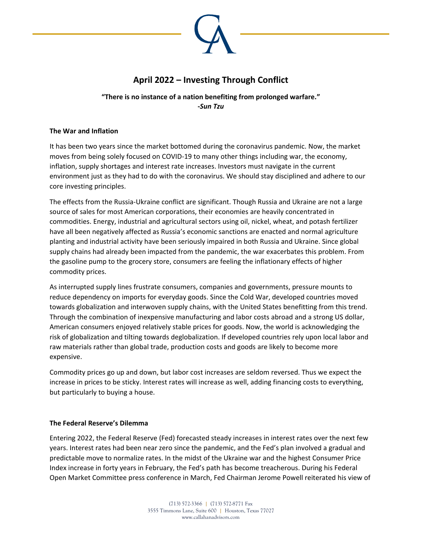

# **April 2022 – Investing Through Conflict**

## **"There is no instance of a nation benefiting from prolonged warfare." -***Sun Tzu*

#### **The War and Inflation**

It has been two years since the market bottomed during the coronavirus pandemic. Now, the market moves from being solely focused on COVID-19 to many other things including war, the economy, inflation, supply shortages and interest rate increases. Investors must navigate in the current environment just as they had to do with the coronavirus. We should stay disciplined and adhere to our core investing principles.

The effects from the Russia-Ukraine conflict are significant. Though Russia and Ukraine are not a large source of sales for most American corporations, their economies are heavily concentrated in commodities. Energy, industrial and agricultural sectors using oil, nickel, wheat, and potash fertilizer have all been negatively affected as Russia's economic sanctions are enacted and normal agriculture planting and industrial activity have been seriously impaired in both Russia and Ukraine. Since global supply chains had already been impacted from the pandemic, the war exacerbates this problem. From the gasoline pump to the grocery store, consumers are feeling the inflationary effects of higher commodity prices.

As interrupted supply lines frustrate consumers, companies and governments, pressure mounts to reduce dependency on imports for everyday goods. Since the Cold War, developed countries moved towards globalization and interwoven supply chains, with the United States benefitting from this trend. Through the combination of inexpensive manufacturing and labor costs abroad and a strong US dollar, American consumers enjoyed relatively stable prices for goods. Now, the world is acknowledging the risk of globalization and tilting towards deglobalization. If developed countries rely upon local labor and raw materials rather than global trade, production costs and goods are likely to become more expensive.

Commodity prices go up and down, but labor cost increases are seldom reversed. Thus we expect the increase in prices to be sticky. Interest rates will increase as well, adding financing costs to everything, but particularly to buying a house.

#### **The Federal Reserve's Dilemma**

Entering 2022, the Federal Reserve (Fed) forecasted steady increases in interest rates over the next few years. Interest rates had been near zero since the pandemic, and the Fed's plan involved a gradual and predictable move to normalize rates. In the midst of the Ukraine war and the highest Consumer Price Index increase in forty years in February, the Fed's path has become treacherous. During his Federal Open Market Committee press conference in March, Fed Chairman Jerome Powell reiterated his view of